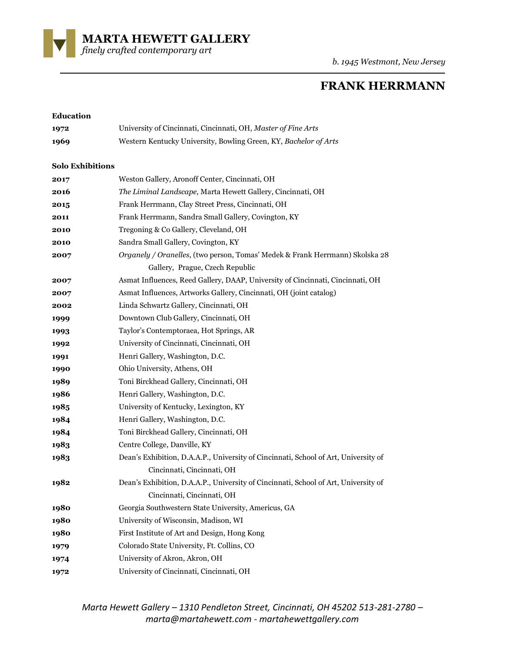**MARTA HEWETT GALLERY**  *finely crafted contemporary art* 

*b. 1945 Westmont, New Jersey*

# **FRANK HERRMANN**

## **Education** University of Cincinnati, Cincinnati, OH, *Master of Fine Arts* Western Kentucky University, Bowling Green, KY, *Bachelor of Arts* **Solo Exhibitions** Weston Gallery, Aronoff Center, Cincinnati, OH *The Liminal Landscape,* Marta Hewett Gallery, Cincinnati, OH Frank Herrmann, Clay Street Press, Cincinnati, OH Frank Herrmann, Sandra Small Gallery, Covington, KY Tregoning & Co Gallery, Cleveland, OH Sandra Small Gallery, Covington, KY *Organely / Oranelles*, (two person, Tomas' Medek & Frank Herrmann) Skolska 28 Gallery, Prague, Czech Republic Asmat Influences, Reed Gallery, DAAP, University of Cincinnati, Cincinnati, OH Asmat Influences, Artworks Gallery, Cincinnati, OH (joint catalog) Linda Schwartz Gallery, Cincinnati, OH Downtown Club Gallery, Cincinnati, OH Taylor's Contemptoraea, Hot Springs, AR University of Cincinnati, Cincinnati, OH Henri Gallery, Washington, D.C. Ohio University, Athens, OH Toni Birckhead Gallery, Cincinnati, OH Henri Gallery, Washington, D.C. University of Kentucky, Lexington, KY Henri Gallery, Washington, D.C. Toni Birckhead Gallery, Cincinnati, OH Centre College, Danville, KY Dean's Exhibition, D.A.A.P., University of Cincinnati, School of Art, University of Cincinnati, Cincinnati, OH Dean's Exhibition, D.A.A.P., University of Cincinnati, School of Art, University of Cincinnati, Cincinnati, OH Georgia Southwestern State University, Americus, GA University of Wisconsin, Madison, WI First Institute of Art and Design, Hong Kong Colorado State University, Ft. Collins, CO University of Akron, Akron, OH University of Cincinnati, Cincinnati, OH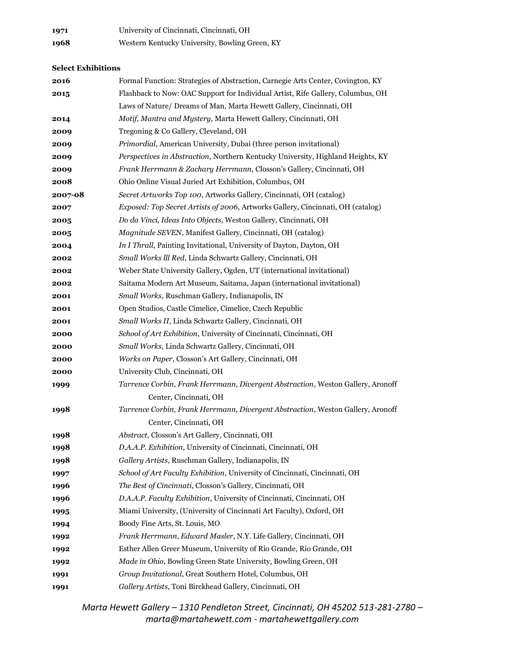| 1971 | University of Cincinnati, Cincinnati, OH       |
|------|------------------------------------------------|
| 1968 | Western Kentucky University, Bowling Green, KY |

### **Select Exhibitions**

| 2016    | Formal Function: Strategies of Abstraction, Carnegie Arts Center, Covington, KY |
|---------|---------------------------------------------------------------------------------|
| 2015    | Flashback to Now: OAC Support for Individual Artist, Rife Gallery, Columbus, OH |
|         | Laws of Nature/ Dreams of Man, Marta Hewett Gallery, Cincinnati, OH             |
| 2014    | Motif, Mantra and Mystery, Marta Hewett Gallery, Cincinnati, OH                 |
| 2009    | Tregoning & Co Gallery, Cleveland, OH                                           |
| 2009    | Primordial, American University, Dubai (three person invitational)              |
| 2009    | Perspectives in Abstraction, Northern Kentucky University, Highland Heights, KY |
| 2009    | Frank Herrmann & Zachary Herrmann, Closson's Gallery, Cincinnati, OH            |
| 2008    | Ohio Online Visual Juried Art Exhibition, Columbus, OH                          |
| 2007-08 | Secret Artworks Top 100, Artworks Gallery, Cincinnati, OH (catalog)             |
| 2007    | Exposed: Top Secret Artists of 2006, Artworks Gallery, Cincinnati, OH (catalog) |
| 2005    | Do da Vinci, Ideas Into Objects, Weston Gallery, Cincinnati, OH                 |
| 2005    | Magnitude SEVEN, Manifest Gallery, Cincinnati, OH (catalog)                     |
| 2004    | In I Thrall, Painting Invitational, University of Dayton, Dayton, OH            |
| 2002    | Small Works Ill Red, Linda Schwartz Gallery, Cincinnati, OH                     |
| 2002    | Weber State University Gallery, Ogden, UT (international invitational)          |
| 2002    | Saitama Modern Art Museum, Saitama, Japan (international invitational)          |
| 2001    | Small Works, Ruschman Gallery, Indianapolis, IN                                 |
| 2001    | Open Studios, Castle Cimelice, Cimelice, Czech Republic                         |
| 2001    | Small Works II, Linda Schwartz Gallery, Cincinnati, OH                          |
| 2000    | School of Art Exhibition, University of Cincinnati, Cincinnati, OH              |
| 2000    | Small Works, Linda Schwartz Gallery, Cincinnati, OH                             |
| 2000    | Works on Paper, Closson's Art Gallery, Cincinnati, OH                           |
| 2000    | University Club, Cincinnati, OH                                                 |
| 1999    | Tarrence Corbin, Frank Herrmann, Divergent Abstraction, Weston Gallery, Aronoff |
|         | Center, Cincinnati, OH                                                          |
| 1998    | Tarrence Corbin, Frank Herrmann, Divergent Abstraction, Weston Gallery, Aronoff |
|         | Center, Cincinnati, OH                                                          |
| 1998    | Abstract, Closson's Art Gallery, Cincinnati, OH                                 |
| 1998    | D.A.A.P. Exhibition, University of Cincinnati, Cincinnati, OH                   |
| 1998    | Gallery Artists, Ruschman Gallery, Indianapolis, IN                             |
| 1997    | School of Art Faculty Exhibition, University of Cincinnati, Cincinnati, OH      |
| 1996    | The Best of Cincinnati, Closson's Gallery, Cincinnati, OH                       |
| 1996    | D.A.A.P. Faculty Exhibition, University of Cincinnati, Cincinnati, OH           |
| 1995    | Miami University, (University of Cincinnati Art Faculty), Oxford, OH            |
| 1994    | Boody Fine Arts, St. Louis, MO                                                  |
| 1992    | Frank Herrmann, Edward Masler, N.Y. Life Gallery, Cincinnati, OH                |
| 1992    | Esther Allen Greer Museum, University of Rio Grande, Rio Grande, OH             |
| 1992    | Made in Ohio, Bowling Green State University, Bowling Green, OH                 |
| 1991    | Group Invitational, Great Southern Hotel, Columbus, OH                          |
| 1991    | Gallery Artists, Toni Birckhead Gallery, Cincinnati, OH                         |
|         |                                                                                 |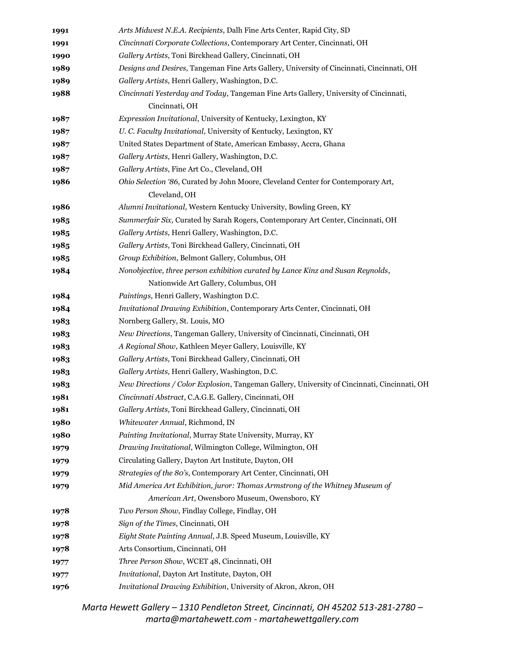| 1991 | Arts Midwest N.E.A. Recipients, Dalh Fine Arts Center, Rapid City, SD                        |
|------|----------------------------------------------------------------------------------------------|
| 1991 | Cincinnati Corporate Collections, Contemporary Art Center, Cincinnati, OH                    |
| 1990 | Gallery Artists, Toni Birckhead Gallery, Cincinnati, OH                                      |
| 1989 | Designs and Desires, Tangeman Fine Arts Gallery, University of Cincinnati, Cincinnati, OH    |
| 1989 | Gallery Artists, Henri Gallery, Washington, D.C.                                             |
| 1988 | Cincinnati Yesterday and Today, Tangeman Fine Arts Gallery, University of Cincinnati,        |
|      | Cincinnati, OH                                                                               |
| 1987 | Expression Invitational, University of Kentucky, Lexington, KY                               |
| 1987 | U. C. Faculty Invitational, University of Kentucky, Lexington, KY                            |
| 1987 | United States Department of State, American Embassy, Accra, Ghana                            |
| 1987 | Gallery Artists, Henri Gallery, Washington, D.C.                                             |
| 1987 | Gallery Artists, Fine Art Co., Cleveland, OH                                                 |
| 1986 | Ohio Selection '86, Curated by John Moore, Cleveland Center for Contemporary Art,            |
|      | Cleveland, OH                                                                                |
| 1986 | Alumni Invitational, Western Kentucky University, Bowling Green, KY                          |
| 1985 | Summerfair Six, Curated by Sarah Rogers, Contemporary Art Center, Cincinnati, OH             |
| 1985 | Gallery Artists, Henri Gallery, Washington, D.C.                                             |
| 1985 | Gallery Artists, Toni Birckhead Gallery, Cincinnati, OH                                      |
| 1985 | Group Exhibition, Belmont Gallery, Columbus, OH                                              |
| 1984 | Nonobjective, three person exhibition curated by Lance Kinz and Susan Reynolds,              |
|      | Nationwide Art Gallery, Columbus, OH                                                         |
| 1984 | Paintings, Henri Gallery, Washington D.C.                                                    |
| 1984 | Invitational Drawing Exhibition, Contemporary Arts Center, Cincinnati, OH                    |
| 1983 | Nornberg Gallery, St. Louis, MO                                                              |
| 1983 | New Directions, Tangeman Gallery, University of Cincinnati, Cincinnati, OH                   |
| 1983 | A Regional Show, Kathleen Meyer Gallery, Louisville, KY                                      |
| 1983 | Gallery Artists, Toni Birckhead Gallery, Cincinnati, OH                                      |
| 1983 | Gallery Artists, Henri Gallery, Washington, D.C.                                             |
| 1983 | New Directions / Color Explosion, Tangeman Gallery, University of Cincinnati, Cincinnati, OH |
| 1981 | Cincinnati Abstract, C.A.G.E. Gallery, Cincinnati, OH                                        |
| 1981 | Gallery Artists, Toni Birckhead Gallery, Cincinnati, OH                                      |
| 1980 | Whitewater Annual, Richmond, IN                                                              |
| 1980 | Painting Invitational, Murray State University, Murray, KY                                   |
| 1979 | Drawing Invitational, Wilmington College, Wilmington, OH                                     |
| 1979 | Circulating Gallery, Dayton Art Institute, Dayton, OH                                        |
| 1979 | Strategies of the 80's, Contemporary Art Center, Cincinnati, OH                              |
| 1979 | Mid America Art Exhibition, juror: Thomas Armstrong of the Whitney Museum of                 |
|      | American Art, Owensboro Museum, Owensboro, KY                                                |
| 1978 | Two Person Show, Findlay College, Findlay, OH                                                |
| 1978 | Sign of the Times, Cincinnati, OH                                                            |
| 1978 | Eight State Painting Annual, J.B. Speed Museum, Louisville, KY                               |
| 1978 | Arts Consortium, Cincinnati, OH                                                              |
| 1977 | Three Person Show, WCET 48, Cincinnati, OH                                                   |
| 1977 | Invitational, Dayton Art Institute, Dayton, OH                                               |
| 1976 | Invitational Drawing Exhibition, University of Akron, Akron, OH                              |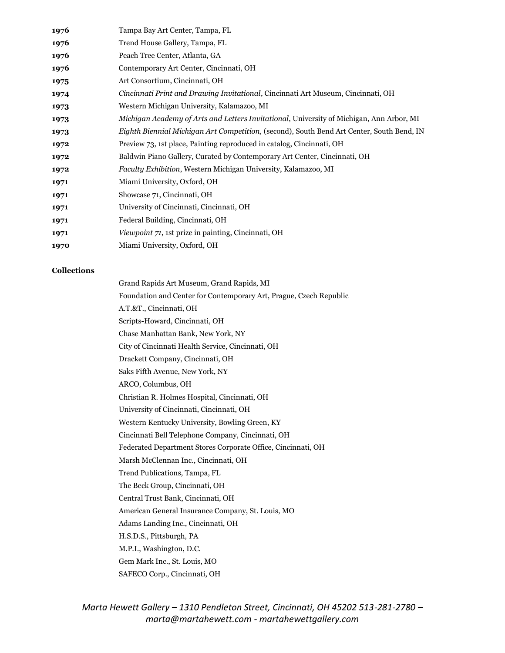| 1976 | Tampa Bay Art Center, Tampa, FL                                                           |
|------|-------------------------------------------------------------------------------------------|
| 1976 | Trend House Gallery, Tampa, FL                                                            |
| 1976 | Peach Tree Center, Atlanta, GA                                                            |
| 1976 | Contemporary Art Center, Cincinnati, OH                                                   |
| 1975 | Art Consortium, Cincinnati, OH                                                            |
| 1974 | <i>Cincinnati Print and Drawing Invitational, Cincinnati Art Museum, Cincinnati, OH</i>   |
| 1973 | Western Michigan University, Kalamazoo, MI                                                |
| 1973 | Michigan Academy of Arts and Letters Invitational, University of Michigan, Ann Arbor, MI  |
| 1973 | Eighth Biennial Michigan Art Competition, (second), South Bend Art Center, South Bend, IN |
| 1972 | Preview 73, 1st place, Painting reproduced in catalog, Cincinnati, OH                     |
| 1972 | Baldwin Piano Gallery, Curated by Contemporary Art Center, Cincinnati, OH                 |
| 1972 | Faculty Exhibition, Western Michigan University, Kalamazoo, MI                            |
| 1971 | Miami University, Oxford, OH                                                              |
| 1971 | Showcase 71, Cincinnati, OH                                                               |
| 1971 | University of Cincinnati, Cincinnati, OH                                                  |
| 1971 | Federal Building, Cincinnati, OH                                                          |
| 1971 | Viewpoint 71, 1st prize in painting, Cincinnati, OH                                       |
| 1970 | Miami University, Oxford, OH                                                              |

#### **Collections**

Grand Rapids Art Museum, Grand Rapids, MI Foundation and Center for Contemporary Art, Prague, Czech Republic A.T.&T., Cincinnati, OH Scripts-Howard, Cincinnati, OH Chase Manhattan Bank, New York, NY City of Cincinnati Health Service, Cincinnati, OH Drackett Company, Cincinnati, OH Saks Fifth Avenue, New York, NY ARCO, Columbus, OH Christian R. Holmes Hospital, Cincinnati, OH University of Cincinnati, Cincinnati, OH Western Kentucky University, Bowling Green, KY Cincinnati Bell Telephone Company, Cincinnati, OH Federated Department Stores Corporate Office, Cincinnati, OH Marsh McClennan Inc., Cincinnati, OH Trend Publications, Tampa, FL The Beck Group, Cincinnati, OH Central Trust Bank, Cincinnati, OH American General Insurance Company, St. Louis, MO Adams Landing Inc., Cincinnati, OH H.S.D.S., Pittsburgh, PA M.P.I., Washington, D.C. Gem Mark Inc., St. Louis, MO SAFECO Corp., Cincinnati, OH